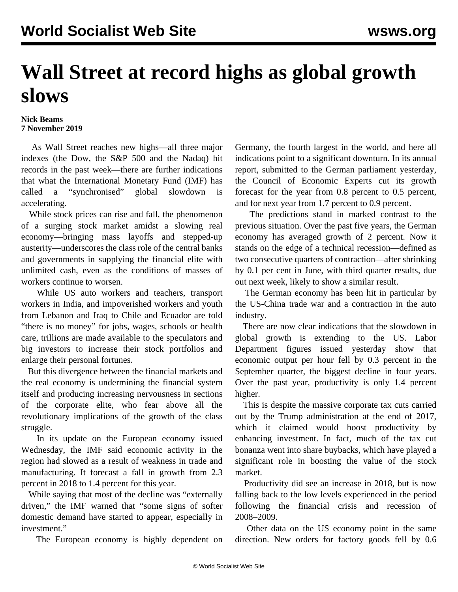## **Wall Street at record highs as global growth slows**

## **Nick Beams 7 November 2019**

 As Wall Street reaches new highs—all three major indexes (the Dow, the S&P 500 and the Nadaq) hit records in the past week—there are further indications that what the International Monetary Fund (IMF) has called a "synchronised" global slowdown is accelerating.

 While stock prices can rise and fall, the phenomenon of a surging stock market amidst a slowing real economy—bringing mass layoffs and stepped-up austerity—underscores the class role of the central banks and governments in supplying the financial elite with unlimited cash, even as the conditions of masses of workers continue to worsen.

 While US auto workers and teachers, transport workers in India, and impoverished workers and youth from Lebanon and Iraq to Chile and Ecuador are told "there is no money" for jobs, wages, schools or health care, trillions are made available to the speculators and big investors to increase their stock portfolios and enlarge their personal fortunes.

 But this divergence between the financial markets and the real economy is undermining the financial system itself and producing increasing nervousness in sections of the corporate elite, who fear above all the revolutionary implications of the growth of the class struggle.

 In its update on the European economy issued Wednesday, the IMF said economic activity in the region had slowed as a result of weakness in trade and manufacturing. It forecast a fall in growth from 2.3 percent in 2018 to 1.4 percent for this year.

 While saying that most of the decline was "externally driven," the IMF warned that "some signs of softer domestic demand have started to appear, especially in investment."

The European economy is highly dependent on

Germany, the fourth largest in the world, and here all indications point to a significant downturn. In its annual report, submitted to the German parliament yesterday, the Council of Economic Experts cut its growth forecast for the year from 0.8 percent to 0.5 percent, and for next year from 1.7 percent to 0.9 percent.

 The predictions stand in marked contrast to the previous situation. Over the past five years, the German economy has averaged growth of 2 percent. Now it stands on the edge of a technical recession—defined as two consecutive quarters of contraction—after shrinking by 0.1 per cent in June, with third quarter results, due out next week, likely to show a similar result.

 The German economy has been hit in particular by the US-China trade war and a contraction in the auto industry.

 There are now clear indications that the slowdown in global growth is extending to the US. Labor Department figures issued yesterday show that economic output per hour fell by 0.3 percent in the September quarter, the biggest decline in four years. Over the past year, productivity is only 1.4 percent higher.

 This is despite the massive corporate tax cuts carried out by the Trump administration at the end of 2017, which it claimed would boost productivity by enhancing investment. In fact, much of the tax cut bonanza went into share buybacks, which have played a significant role in boosting the value of the stock market.

 Productivity did see an increase in 2018, but is now falling back to the low levels experienced in the period following the financial crisis and recession of 2008–2009.

 Other data on the US economy point in the same direction. New orders for factory goods fell by 0.6